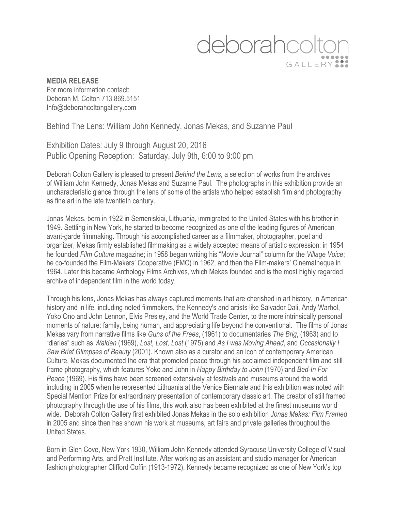## deborahcolte GALLERY<sup>9</sup>

## **MEDIA RELEASE** For more information contact: Deborah M. Colton 713.869.5151 Info@deborahcoltongallery.com

Behind The Lens: William John Kennedy, Jonas Mekas, and Suzanne Paul

Exhibition Dates: July 9 through August 20, 2016 Public Opening Reception: Saturday, July 9th, 6:00 to 9:00 pm

Deborah Colton Gallery is pleased to present *Behind the Lens*, a selection of works from the archives of William John Kennedy, Jonas Mekas and Suzanne Paul. The photographs in this exhibition provide an uncharacteristic glance through the lens of some of the artists who helped establish film and photography as fine art in the late twentieth century.

Jonas Mekas, born in 1922 in Semeniskiai, Lithuania, immigrated to the United States with his brother in 1949. Settling in New York, he started to become recognized as one of the leading figures of American avant-garde filmmaking. Through his accomplished career as a filmmaker, photographer, poet and organizer, Mekas firmly established filmmaking as a widely accepted means of artistic expression: in 1954 he founded *Film Culture* magazine; in 1958 began writing his "Movie Journal" column for the *Village Voice*; he co-founded the Film-Makers' Cooperative (FMC) in 1962, and then the Film-makers' Cinematheque in 1964. Later this became Anthology Films Archives, which Mekas founded and is the most highly regarded archive of independent film in the world today.

Through his lens, Jonas Mekas has always captured moments that are cherished in art history, in American history and in life, including noted filmmakers, the Kennedy's and artists like Salvador Dali, Andy Warhol, Yoko Ono and John Lennon, Elvis Presley, and the World Trade Center, to the more intrinsically personal moments of nature: family, being human, and appreciating life beyond the conventional. The films of Jonas Mekas vary from narrative films like *Guns of the Frees*, (1961) to documentaries *The Brig*, (1963) and to "diaries" such as *Walden* (1969), *Lost, Lost, Lost* (1975) and *As I was Moving Ahead*, and *Occasionally I Saw Brief Glimpses of Beauty* (2001). Known also as a curator and an icon of contemporary American Culture, Mekas documented the era that promoted peace through his acclaimed independent film and still frame photography, which features Yoko and John in *Happy Birthday to John* (1970) and *Bed-In For Peace* (1969). His films have been screened extensively at festivals and museums around the world, including in 2005 when he represented Lithuania at the Venice Biennale and this exhibition was noted with Special Mention Prize for extraordinary presentation of contemporary classic art. The creator of still framed photography through the use of his films, this work also has been exhibited at the finest museums world wide. Deborah Colton Gallery first exhibited Jonas Mekas in the solo exhibition *Jonas Mekas: Film Framed*  in 2005 and since then has shown his work at museums, art fairs and private galleries throughout the United States.

Born in Glen Cove, New York 1930, William John Kennedy attended Syracuse University College of Visual and Performing Arts, and Pratt Institute. After working as an assistant and studio manager for American fashion photographer Clifford Coffin (1913-1972), Kennedy became recognized as one of New York's top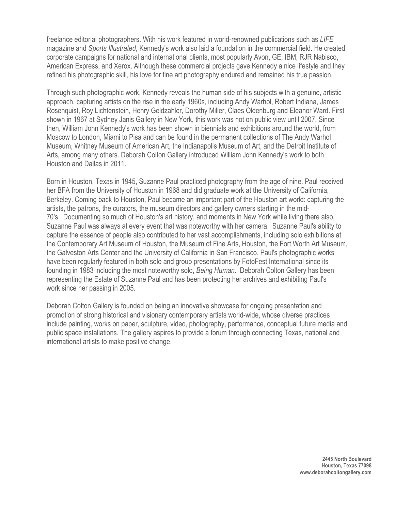freelance editorial photographers. With his work featured in world-renowned publications such as *LIFE*  magazine and *Sports Illustrated*, Kennedy's work also laid a foundation in the commercial field. He created corporate campaigns for national and international clients, most popularly Avon, GE, IBM, RJR Nabisco, American Express, and Xerox. Although these commercial projects gave Kennedy a nice lifestyle and they refined his photographic skill, his love for fine art photography endured and remained his true passion.

Through such photographic work, Kennedy reveals the human side of his subjects with a genuine, artistic approach, capturing artists on the rise in the early 1960s, including Andy Warhol, Robert Indiana, James Rosenquist, Roy Lichtenstein, Henry Geldzahler, Dorothy Miller, Claes Oldenburg and Eleanor Ward. First shown in 1967 at Sydney Janis Gallery in New York, this work was not on public view until 2007. Since then, William John Kennedy's work has been shown in biennials and exhibitions around the world, from Moscow to London, Miami to Pisa and can be found in the permanent collections of The Andy Warhol Museum, Whitney Museum of American Art, the Indianapolis Museum of Art, and the Detroit Institute of Arts, among many others. Deborah Colton Gallery introduced William John Kennedy's work to both Houston and Dallas in 2011.

Born in Houston, Texas in 1945, Suzanne Paul practiced photography from the age of nine. Paul received her BFA from the University of Houston in 1968 and did graduate work at the University of California, Berkeley. Coming back to Houston, Paul became an important part of the Houston art world: capturing the artists, the patrons, the curators, the museum directors and gallery owners starting in the mid-70's. Documenting so much of Houston's art history, and moments in New York while living there also, Suzanne Paul was always at every event that was noteworthy with her camera. Suzanne Paul's ability to capture the essence of people also contributed to her vast accomplishments, including solo exhibitions at the Contemporary Art Museum of Houston, the Museum of Fine Arts, Houston, the Fort Worth Art Museum, the Galveston Arts Center and the University of California in San Francisco. Paul's photographic works have been regularly featured in both solo and group presentations by FotoFest International since its founding in 1983 including the most noteworthy solo, *Being Human*. Deborah Colton Gallery has been representing the Estate of Suzanne Paul and has been protecting her archives and exhibiting Paul's work since her passing in 2005.

Deborah Colton Gallery is founded on being an innovative showcase for ongoing presentation and promotion of strong historical and visionary contemporary artists world-wide, whose diverse practices include painting, works on paper, sculpture, video, photography, performance, conceptual future media and public space installations. The gallery aspires to provide a forum through connecting Texas, national and international artists to make positive change.

> **2445 North Boulevard Houston, Texas 77098 www.deborahcoltongallery.com**